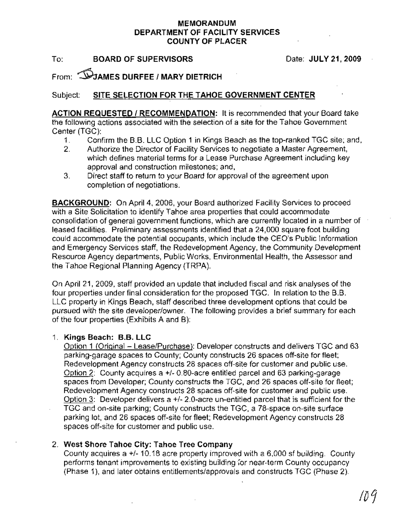# MEMORANDUM DEPARTMENt OF FACILITY SERVICES COUNTY OF PLACER

To: BOARD OF SUPERVISORS

Date: JULY 21,2009

From: **WJAMES DURFEE / MARY DIETRICH** 

### Subject: SITE SELECTION FOR THE TAHOE GOVERNMENT CENTER

ACTION REQUESTED / RECOMMENDATION: It is recommended that your Board take the following actions associated with the selection of a site for the Tahoe Government Center (TGC):

- 1. Confirm the B.B. LLC Option 1 in Kings Beach as the top-ranked TGC site; and,
- 2. Authorize the Director of Facility Services to negotiate a Master Agreement, which defines material terms for a Lease Purchase Agreement including key approval and construction milestones; and,
- 3. Direct staff to return to your Board for approval of the agreement upon completion of negotiations.

BACKGROUND: On April 4,2006, your Board authorized Facility Services to proceed with a Site Solicitation to identify Tahoe area properties that could accommodate consolidation of general government functions, which are currently located in a number of leased facilities. Preliminary assessments identified that a 24,000 square foot building could accommodate the potential occupants, which include the CEO's Public Information and Emergency Services staff, the Redevelopment Agency, the Community Development Resource Agency departments, Public Works, Environmental Health, the Assessor and the Tahoe Regional Planning Agency (TRPA).

On April 21,2009, staff provided an update that included fiscal and risk analyses of the four properties under final consideration for the proposed TGC. In relation to the B.B. LLC property in Kings Beach, staff described three development options that could be pursued with the site developer/owner. The following provides a brief summary for each of the four properties (Exhibits A and B):

#### 1. Kings Beach: B.B. LLC

Option 1 (Original - Lease/Purchase): Developer constructs and delivers TGC and 63 parking-garage spaces to County; County constructs 26 spaces off-site for fleet; Redevelopment Agency constructs 28 spaces off-site for customer and public use. Option 2: County acquires a +/- 0.80-acre entitled parcel and 63 parking-garage spaces from Developer; County constructs the TGC, and 26 spaces off-site for fleet; Redevelopment Agency constructs 28 spaces off-site for customer and public use. Option 3: Developer delivers a  $+/-$  2.0-acre un-entitled parcel that is sufficient for the TGC and on-site parking; County constructs the TGC, a 78-space on-site surface parking lot, and 26 spaces off-site for fleet; Redevelopment Agency constructs 28 spaces off-site for customer and public use.

### 2. West Shore Tahoe City: Tahoe Tree Company

County acquires a +/- 10.18 acre property improved with a 6,000 sf building. County performs tenant improvements to existing building for near-term County occupancy (Phase 1), and later obtains entitlements/approvals and constructs TGC (Phase 2).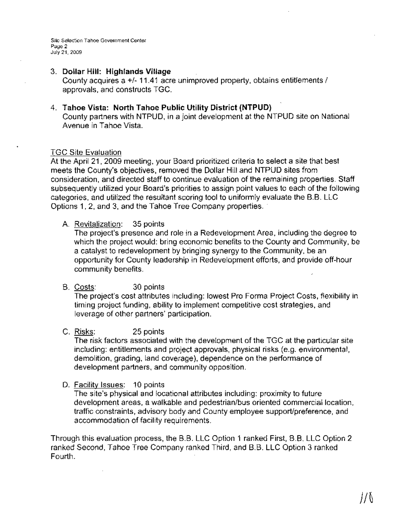Site Selection Tahoe Government Center Page 2 July 21,2009

#### 3. **Dollar Hill: Highlands Village** County acquires a +/- 11.41 acre unimproved property, obtains entitlements / approvals, and constructs TGC.

4. **Tahoe Vista: North Tahoe Public Utility District (NTPUD)** County partners with NTPUD, in a joint development at the NTPUD site on National Avenue in Tahoe Vista.

#### TGC Site Evaluation

At the April 21, 2009 meeting, your Board prioritized criteria to select a site that best .meets the County's objectives, removed the Dollar Hill and NTPUD sites from consideration, and directed staff to continue evaluation of the remaining properties. Staff subsequently utilized your Board's priorities to assign point values to each of the following categories, and utilized the resultant scoring tool to uniformly evaluate the B.B. LLC Options 1,2, and 3, and the Tahoe Tree Company properties..

### A. Revitalization: 35 points

The project's presence and role in a Redevelopment Area, including the degree to which the project would: bring economic benefits to the County and Community, be a catalyst to redevelopment by bringing synergy to the Community, be an opportunity for County leadership in Redevelopment efforts, and provide off-hour community benefits.

B. Costs: 30 points

The project's cost attributes including: lowest Pro Forma Project Costs, flexibility in timing project funding, ability to implement competitive cost strategies, and leverage of other partners' participation.

C. Risks: 25 points

The risk factors associated with the development of the TGC at the particular site including: entitlements and project approvals, physical risks (e.g. environmental, demolition, grading, land coverage), dependence on the performance of development partners, and community opposition.

D. Facility Issues: 10 points

The site's physical and locational attributes including: proximity to future development areas, a walkable and pedestrian/bus oriented commercial location, traffic constraints, advisory body and County employee support/preference, and accommodation of facility requirements.

Through this evaluation process, the B.B. LLC Option 1 ranked First, B.B. LLC Option 2 ranked Second, Tahoe Tree Company ranked Third, and B.B. LLC Option 3 ranked Fourth.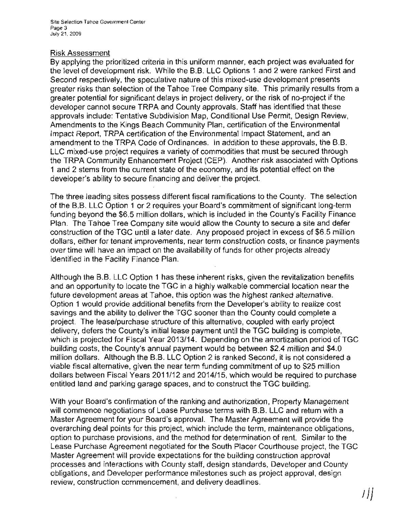#### Risk Assessment

By applying the prioritized criteria in this uniform manner, each project was evaluated for the level of development risk. While the B.B. LLC Options 1 and 2 were ranked First and Second respectively, the speculative nature of this mixed-use development presents greater risks than selection of the Tahoe Tree Company site. This primarily results from a greater potential for significant delays in project delivery, or the risk of no-project if the developer cannot secure TRPA and County approvals. Staff has identified that these approvals include: Tentative Subdivision Map, Conditional Use Permit, Design Review, Amendments to the Kings Beach Community Plan, certification of the Environmental Impact Report, TRPA certification of the Environmental Impact Statement, and an amendment to the TRPA Code of Ordinances. In addition to these approvals, the B.B. LLC mixed-use project requires a variety of commodities that must be secured through the TRPA Community Enhancement Project (CEP). Another risk associated with Options 1 and 2 stems from the current state of the economy, and its potential effect on the developer's ability to secure financing and deliver the project.

The three leading sites possess different fiscal ramifications to the County. The selection of the B.B. LLC Option 1 or 2 requires your Board's commitment of significant long-term funding beyond the \$6.5 million dollars, which is included in the County's Facility Finance Plan. The Tahoe Tree Company site would allow the County to secure a site and defer construction of the TGC until a later date. Any proposed project in excess of \$6.5 million dollars, either for tenant improvements, near term construction costs, or finance payments over time will have an impact on the availability of funds for other projects already identified in the Facility Finance Plan.

Although the B.B. LLC Option 1 has these inherent risks, given the revitalization benefits and an opportunity to locate the TGC in a highly walkable commercial location near the future development areas at Tahoe, this option was the highest ranked alternative. Option 1 would provide additional benefits from the Developer's ability to realize cost savings and the ability to deliver the TGC sooner than the County could complete a project. The lease/purchase structure of this alternative, coupled with early project delivery, defers the County's initial lease payment until the TGC building is complete, which is projected for Fiscal Year 2013/14. Depending on the amortization period of TGC building costs, the County's annual payment would be between \$2.4 million and \$4.0 million dollars. Although the B.B. LLC Option 2 is ranked Second, it is not considered a viable fiscal alternative, given the near term funding commitment of up to \$25 million dollars between Fiscal Years 2011/12 and 2014/15, which would be required to purchase entitled land and parking garage spaces, and to construct the TGC building.

With your Board's confirmation of the ranking and authorization, Property Management will commence negotiations of Lease Purchase terms with B.B. LLC and return with a Master Agreement for your Board's approval. The Master Agreement will provide the overarching deal points for this project, which include the term, maintenance obligations, option to purchase provisions, and the method for determination of rent. Similar to the Lease Purchase Agreement negotiated for the South Placer Courthouse project, the TGC Master Agreement will provide expectations for the building construction approval processes and interactions with County staff, design standards, Developer and County obligations, and Developer performance milestones such as project approval, design review, construction commencement, and delivery deadlines.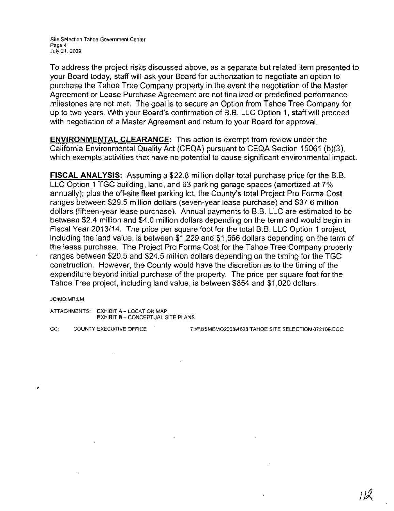Site Selection Tahoe Government Center Page 4 July 21, 2009

To address the project risks discussed above, as a separate but related item presented to your Board today, staff will ask your Board for authorization to negotiate an option to purchase the Tahoe Tree Company property in the event the negotiation of the Master Agreement or Lease Purchase Agreement are not finalized or predefined performance milestones are not met. The goal is to secure an Option from Tahoe Tree Company for up to two years. With your Board's confirmation of B.B. LLC Option 1, staff will proceed with negotiation of a Master Agreement and return to your Board for approval.

**ENVIRONMENTAL CLEARANCE:** This action is exempt from review under the California Environmental Quality Act (CEQA) pursuant to CEQA Section 15061 (b)(3), which exempts activities that have no potential to cause significant environmental impact.

**FISCAL ANALYSIS:** Assuming a \$22.8 million dollar total purchase price for the B.B. LLC Option 1 TGC building, land, and 63 parking garage spaces (amortized at 7% annually); plus the off-site fleet parking lot, the County's total Project Pro Forma Cost ranges between \$29.5 million dollars (seven-year lease purchase) and \$37.6 million dollars (fifteen-year lease purchase). Annual payments to B.B. LLC are estimated to be between \$2.4 million and \$4.0 million dollars depending on the term and would begin in Fiscal Year 2013/14. The price per square foot for the total B.B. LLC Option 1 project, including the land value, is between \$1,229 and \$1,566 dollars depending on the term of the lease purchase. The Project Pro Forma Cost for the Tahoe Tree Company property ranges between \$20.5 and \$24.5 million dollars depending on the timing for the TGC construction. However, the County would have the discretion as to the timing of the expenditure beyond initial purchase of the property. The price per square foot for the Tahoe Tree project, including land value, is between \$854 and \$1,020 dollars.

JD/MD:MR:LM

ATTACHMENTS: EXHIBIT A- LOCATION MAP EXHIBIT B - CONCEPTUAL SITE PLANS

CC: COUNTY EXECUTIVE OFFICE T:\F\BSMEM02008\4628 TAHOE SITE SELECTION 072109,DOC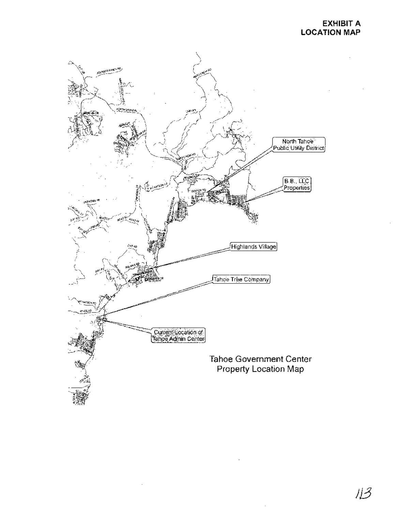## **EXHIBIT A LOCATION MAP**



))3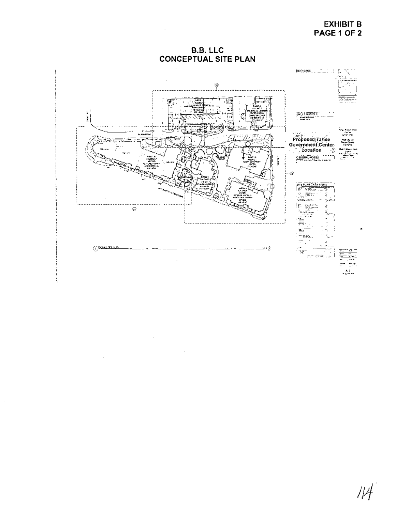## **EXHIBIT B** PAGE 1 OF 2

**B.B. LLC CONCEPTUAL SITE PLAN** 

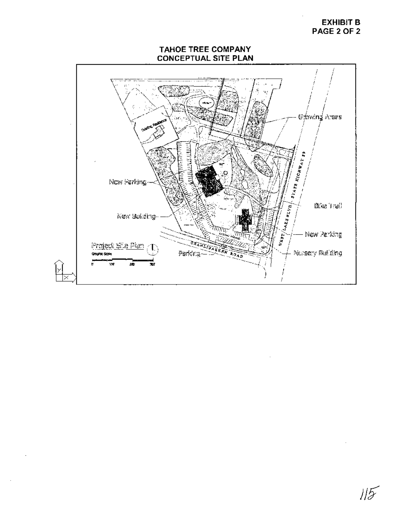## **EXHIBIT B** PAGE 2 OF 2

# **TAHOE TREE COMPANY CONCEPTUAL SITE PLAN**